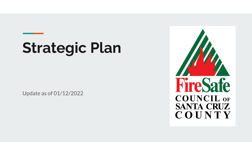# **Strategic Plan**

Update as of 01/12/2022

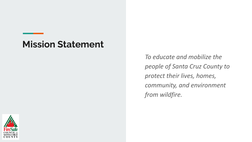#### **Mission Statement**

*To educate and mobilize the people of Santa Cruz County to protect their lives, homes, community, and environment from wildfire.* 

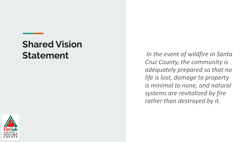# **Shared Vision**

**Statement** *In the event of wildfire in Santa Cruz County, the community is adequately prepared so that no life is lost, damage to property is minimal to none, and natural systems are revitalized by fire rather than destroyed by it.* 

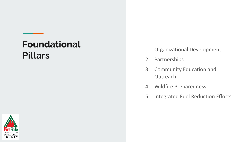#### **Foundational Pillars**

- 1. Organizational Development
- 2. Partnerships
- 3. Community Education and **Outreach**
- 4. Wildfire Preparedness
- 5. Integrated Fuel Reduction Efforts

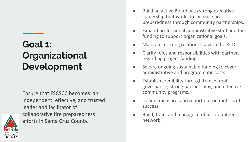## **Goal 1: Organizational Development**

Ensure that FSCSCC becomes an independent, effective, and trusted leader and facilitator of collaborative fire preparedness efforts in Santa Cruz County.

- Build an active Board with strong executive leadership that works to increase fire preparedness through community partnerships.
- Expand professional administrative staff and the funding to support organizational goals.
- Maintain a strong relationship with the RCD.
- Clarify roles and responsibilities with partners regarding project funding.
- Secure ongoing sustainable funding to cover administrative and programmatic costs.
- Establish credibility through transparent governance, strong partnerships, and effective community programs.
- Define, measure, and report out on metrics of success.
- Build, train, and manage a robust volunteer network.

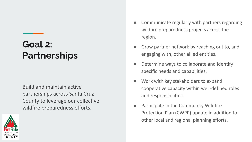### **Goal 2: Partnerships**

Build and maintain active partnerships across Santa Cruz County to leverage our collective wildfire preparedness efforts.



- Communicate regularly with partners regarding wildfire preparedness projects across the region.
- Grow partner network by reaching out to, and engaging with, other allied entities.
- Determine ways to collaborate and identify specific needs and capabilities.
- Work with key stakeholders to expand cooperative capacity within well-defined roles and responsibilities.
- Participate in the Community Wildfire Protection Plan (CWPP) update in addition to other local and regional planning efforts.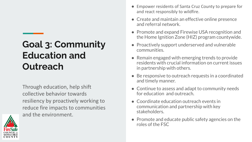### **Goal 3: Community Education and Outreach**

Through education, help shift collective behavior towards resiliency by proactively working to reduce fire impacts to communities and the environment.



- Empower residents of Santa Cruz County to prepare for and react responsibly to wildfire.
- Create and maintain an effective online presence and referral network.
- Promote and expand Firewise USA recognition and the Home Ignition Zone (HIZ) program countywide.
- Proactively support underserved and vulnerable communities.
- Remain engaged with emerging trends to provide residents with crucial information on current issues in partnership with others.
- Be responsive to outreach requests in a coordinated and timely manner.
- Continue to assess and adapt to community needs for education and outreach.
- Coordinate education outreach events in communication and partnership with key stakeholders.
- Promote and educate public safety agencies on the roles of the FSC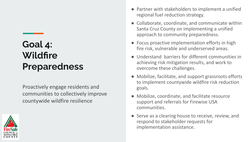### **Goal 4: Wildfire Preparedness**

Proactively engage residents and communities to collectively improve countywide wildfire resilience



- Partner with stakeholders to implement a unified regional fuel reduction strategy.
- Collaborate, coordinate, and communicate within Santa Cruz County on implementing a unified approach to community preparedness.
- Focus proactive implementation efforts in high fire risk, vulnerable and underserved areas.
- Understand barriers for different communities in achieving risk mitigation results, and work to overcome these challenges.
- Mobilize, facilitate, and support grassroots efforts to implement countywide wildfire risk reduction goals.
- Mobilize, coordinate, and facilitate resource support and referrals for Firewise USA communities.
- Serve as a clearing house to receive, review, and respond to stakeholder requests for implementation assistance.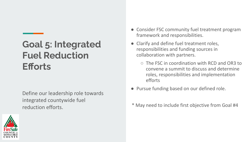### **Goal 5: Integrated Fuel Reduction Efforts**

Define our leadership role towards integrated countywide fuel reduction efforts.



- Consider FSC community fuel treatment program framework and responsibilities.
- Clarify and define fuel treatment roles, responsibilities and funding sources in collaboration with partners.
	- The FSC in coordination with RCD and OR3 to convene a summit to discuss and determine roles, responsibilities and implementation efforts
- Pursue funding based on our defined role.
- \* May need to include first objective from Goal #4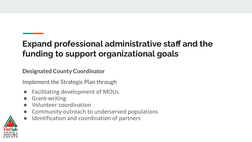#### **Expand professional administrative staff and the funding to support organizational goals**

**Designated County Coordinator**

Implement the Strategic Plan through

- Facilitating development of MOUs
- **Grant-writing**
- Volunteer coordination
- Community outreach to underserved populations
- Identification and coordination of partners